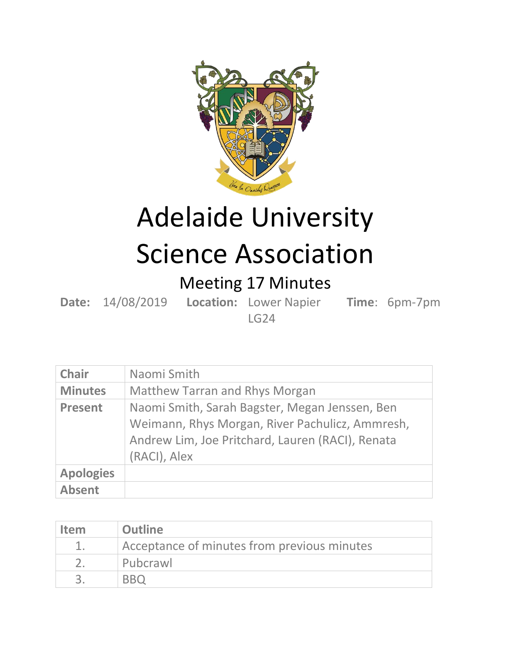

## Adelaide University Science Association

## Meeting 17 Minutes

**Date:** 14/08/2019 **Location:** Lower Napier **Time**: 6pm-7pm LG24

**Chair** Naomi Smith **Minutes** Matthew Tarran and Rhys Morgan

| <u>IVIIIIULES</u> | <u>IVIALLICW TAITAII AIIU NIIVS IVIUI KAIT</u>                                                                                                                        |
|-------------------|-----------------------------------------------------------------------------------------------------------------------------------------------------------------------|
| <b>Present</b>    | Naomi Smith, Sarah Bagster, Megan Jenssen, Ben<br>Weimann, Rhys Morgan, River Pachulicz, Ammresh,<br>Andrew Lim, Joe Pritchard, Lauren (RACI), Renata<br>(RACI), Alex |
| <b>Apologies</b>  |                                                                                                                                                                       |
| <b>Absent</b>     |                                                                                                                                                                       |

| <b>Item</b> | <b>Outline</b>                              |
|-------------|---------------------------------------------|
|             | Acceptance of minutes from previous minutes |
|             | Pubcrawl                                    |
|             | <b>BRO</b>                                  |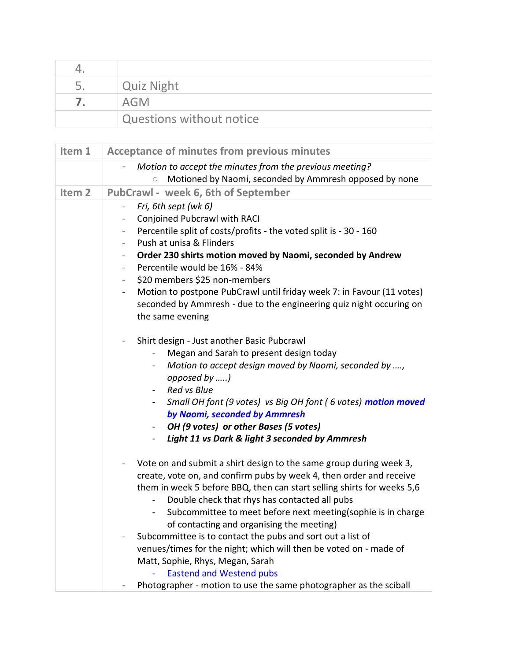| $\overline{\phantom{a}}$ | <b>Quiz Night</b>        |
|--------------------------|--------------------------|
|                          | AGM                      |
|                          | Questions without notice |

| Item 1            | <b>Acceptance of minutes from previous minutes</b>                                                                                                                                                                                                                                                                                                                                                                                                                                                                                                                                                                                                                         |
|-------------------|----------------------------------------------------------------------------------------------------------------------------------------------------------------------------------------------------------------------------------------------------------------------------------------------------------------------------------------------------------------------------------------------------------------------------------------------------------------------------------------------------------------------------------------------------------------------------------------------------------------------------------------------------------------------------|
|                   | Motion to accept the minutes from the previous meeting?<br>Motioned by Naomi, seconded by Ammresh opposed by none                                                                                                                                                                                                                                                                                                                                                                                                                                                                                                                                                          |
| Item <sub>2</sub> | PubCrawl - week 6, 6th of September                                                                                                                                                                                                                                                                                                                                                                                                                                                                                                                                                                                                                                        |
|                   | Fri, 6th sept (wk 6)<br>$\overline{\phantom{0}}$<br>Conjoined Pubcrawl with RACI<br>Percentile split of costs/profits - the voted split is - 30 - 160<br>$\overline{\phantom{a}}$<br>Push at unisa & Flinders<br>Order 230 shirts motion moved by Naomi, seconded by Andrew<br>$\overline{\phantom{a}}$<br>Percentile would be 16% - 84%<br>\$20 members \$25 non-members<br>$\overline{\phantom{a}}$<br>Motion to postpone PubCrawl until friday week 7: in Favour (11 votes)<br>$\blacksquare$<br>seconded by Ammresh - due to the engineering quiz night occuring on<br>the same evening                                                                                |
|                   | Shirt design - Just another Basic Pubcrawl<br>$\overline{\phantom{a}}$<br>Megan and Sarah to present design today<br>Motion to accept design moved by Naomi, seconded by ,<br>$\blacksquare$<br>opposed by )<br><b>Red vs Blue</b><br>$\overline{\phantom{0}}$<br>Small OH font (9 votes) vs Big OH font (6 votes) motion moved<br>$\blacksquare$<br>by Naomi, seconded by Ammresh<br>OH (9 votes) or other Bases (5 votes)<br>$\sim$<br>Light 11 vs Dark & light 3 seconded by Ammresh                                                                                                                                                                                    |
|                   | Vote on and submit a shirt design to the same group during week 3,<br>create, vote on, and confirm pubs by week 4, then order and receive<br>them in week 5 before BBQ, then can start selling shirts for weeks 5,6<br>Double check that rhys has contacted all pubs<br>Subcommittee to meet before next meeting(sophie is in charge<br>$\sim$<br>of contacting and organising the meeting)<br>Subcommittee is to contact the pubs and sort out a list of<br>venues/times for the night; which will then be voted on - made of<br>Matt, Sophie, Rhys, Megan, Sarah<br><b>Eastend and Westend pubs</b><br>Photographer - motion to use the same photographer as the sciball |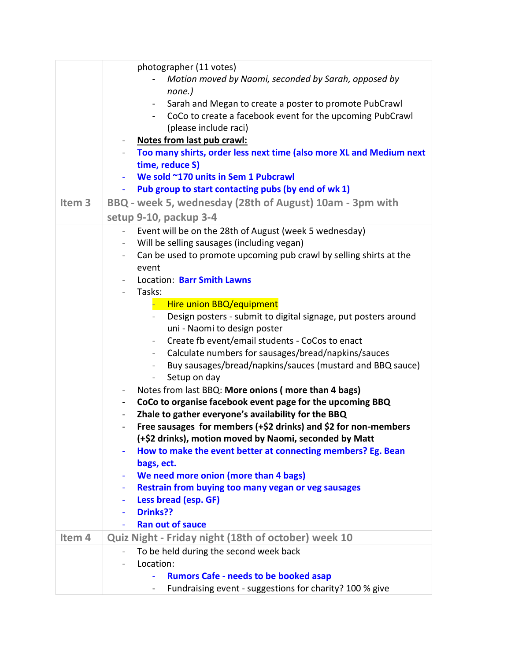|                   | photographer (11 votes)                                                               |
|-------------------|---------------------------------------------------------------------------------------|
|                   | Motion moved by Naomi, seconded by Sarah, opposed by                                  |
|                   | none.)                                                                                |
|                   | Sarah and Megan to create a poster to promote PubCrawl                                |
|                   | CoCo to create a facebook event for the upcoming PubCrawl                             |
|                   | (please include raci)                                                                 |
|                   | Notes from last pub crawl:                                                            |
|                   | Too many shirts, order less next time (also more XL and Medium next                   |
|                   | time, reduce S)                                                                       |
|                   | We sold ~170 units in Sem 1 Pubcrawl                                                  |
|                   | Pub group to start contacting pubs (by end of wk 1)                                   |
| Item <sub>3</sub> | BBQ - week 5, wednesday (28th of August) 10am - 3pm with                              |
|                   | setup 9-10, packup 3-4                                                                |
|                   | Event will be on the 28th of August (week 5 wednesday)<br>$\overline{\phantom{a}}$    |
|                   | Will be selling sausages (including vegan)                                            |
|                   | Can be used to promote upcoming pub crawl by selling shirts at the                    |
|                   | event                                                                                 |
|                   | Location: Barr Smith Lawns                                                            |
|                   | Tasks:<br>$\overline{\phantom{0}}$                                                    |
|                   | Hire union BBQ/equipment                                                              |
|                   | Design posters - submit to digital signage, put posters around                        |
|                   | uni - Naomi to design poster                                                          |
|                   | Create fb event/email students - CoCos to enact<br>$\overline{\phantom{a}}$           |
|                   | Calculate numbers for sausages/bread/napkins/sauces<br>$ \,$                          |
|                   | Buy sausages/bread/napkins/sauces (mustard and BBQ sauce)                             |
|                   | Setup on day<br>$\overline{\phantom{0}}$                                              |
|                   | Notes from last BBQ: More onions (more than 4 bags)<br>$\overline{\phantom{a}}$       |
|                   | CoCo to organise facebook event page for the upcoming BBQ<br>$\overline{\phantom{a}}$ |
|                   | Zhale to gather everyone's availability for the BBQ                                   |
|                   | Free sausages for members (+\$2 drinks) and \$2 for non-members                       |
|                   | (+\$2 drinks), motion moved by Naomi, seconded by Matt                                |
|                   | How to make the event better at connecting members? Eg. Bean                          |
|                   | bags, ect.                                                                            |
|                   | We need more onion (more than 4 bags)                                                 |
|                   | Restrain from buying too many vegan or veg sausages<br>٠                              |
|                   | Less bread (esp. GF)                                                                  |
|                   | Drinks??                                                                              |
|                   | <b>Ran out of sauce</b>                                                               |
| Item <sub>4</sub> | Quiz Night - Friday night (18th of october) week 10                                   |
|                   | To be held during the second week back                                                |
|                   | Location:                                                                             |
|                   | <b>Rumors Cafe - needs to be booked asap</b>                                          |
|                   | Fundraising event - suggestions for charity? 100 % give<br>$\blacksquare$             |